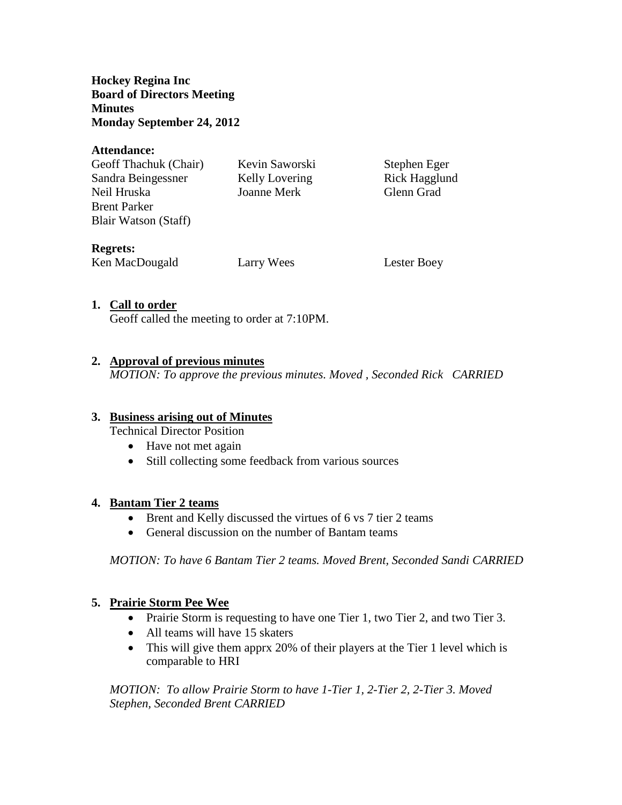**Hockey Regina Inc Board of Directors Meeting Minutes Monday September 24, 2012**

#### **Attendance:**

| Geoff Thachuk (Chair) | Kevin Saworski | Stephen Eger  |
|-----------------------|----------------|---------------|
| Sandra Beingessner    | Kelly Lovering | Rick Hagglund |
| Neil Hruska           | Joanne Merk    | Glenn Grad    |
| <b>Brent Parker</b>   |                |               |
| Blair Watson (Staff)  |                |               |
| <b>Regrets:</b>       |                |               |
| Ken MacDougald        | Larry Wees     | Lester Boey   |

### **1. Call to order**

Geoff called the meeting to order at 7:10PM.

### **2. Approval of previous minutes**

*MOTION: To approve the previous minutes. Moved , Seconded Rick CARRIED*

## **3. Business arising out of Minutes**

Technical Director Position

- Have not met again
- Still collecting some feedback from various sources

#### **4. Bantam Tier 2 teams**

- Brent and Kelly discussed the virtues of 6 vs 7 tier 2 teams
- General discussion on the number of Bantam teams

*MOTION: To have 6 Bantam Tier 2 teams. Moved Brent, Seconded Sandi CARRIED*

## **5. Prairie Storm Pee Wee**

- Prairie Storm is requesting to have one Tier 1, two Tier 2, and two Tier 3.
- All teams will have 15 skaters
- This will give them apprx 20% of their players at the Tier 1 level which is comparable to HRI

*MOTION: To allow Prairie Storm to have 1-Tier 1, 2-Tier 2, 2-Tier 3. Moved Stephen, Seconded Brent CARRIED*